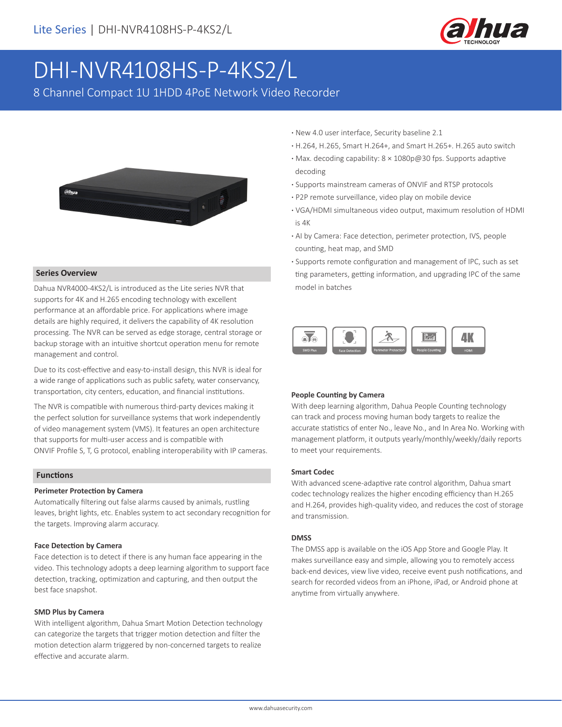

# DHI-NVR4108HS-P-4KS2/L

8 Channel Compact 1U 1HDD 4PoE Network Video Recorder



#### **Series Overview**

Dahua NVR4000-4KS2/L is introduced as the Lite series NVR that supports for 4K and H.265 encoding technology with excellent performance at an affordable price. For applications where image details are highly required, it delivers the capability of 4K resolution processing. The NVR can be served as edge storage, central storage or backup storage with an intuitive shortcut operation menu for remote management and control.

Due to its cost-effective and easy-to-install design, this NVR is ideal for a wide range of applications such as public safety, water conservancy, transportation, city centers, education, and financial institutions.

The NVR is compatible with numerous third-party devices making it the perfect solution for surveillance systems that work independently of video management system (VMS). It features an open architecture that supports for multi-user access and is compatible with ONVIF Profile S, T, G protocol, enabling interoperability with IP cameras.

#### **Functions**

#### **Perimeter Protection by Camera**

Automatically filtering out false alarms caused by animals, rustling leaves, bright lights, etc. Enables system to act secondary recognition for the targets. Improving alarm accuracy.

#### **Face Detection by Camera**

Face detection is to detect if there is any human face appearing in the video. This technology adopts a deep learning algorithm to support face detection, tracking, optimization and capturing, and then output the best face snapshot.

#### **SMD Plus by Camera**

With intelligent algorithm, Dahua Smart Motion Detection technology can categorize the targets that trigger motion detection and filter the motion detection alarm triggered by non-concerned targets to realize effective and accurate alarm.

- **·** New 4.0 user interface, Security baseline 2.1
- **·** H.264, H.265, Smart H.264+, and Smart H.265+. H.265 auto switch
- **·** Max. decoding capability: 8 × 1080p@30 fps. Supports adaptive decoding
- **·** Supports mainstream cameras of ONVIF and RTSP protocols
- **·** P2P remote surveillance, video play on mobile device
- **·** VGA/HDMI simultaneous video output, maximum resolution of HDMI is 4K
- **·** AI by Camera: Face detection, perimeter protection, IVS, people counting, heat map, and SMD
- **·** Supports remote configuration and management of IPC, such as set ting parameters, getting information, and upgrading IPC of the same model in batches



#### **People Counting by Camera**

With deep learning algorithm, Dahua People Counting technology can track and process moving human body targets to realize the accurate statistics of enter No., leave No., and In Area No. Working with management platform, it outputs yearly/monthly/weekly/daily reports to meet your requirements.

#### **Smart Codec**

With advanced scene-adaptive rate control algorithm, Dahua smart codec technology realizes the higher encoding efficiency than H.265 and H.264, provides high-quality video, and reduces the cost of storage and transmission.

#### **DMSS**

The DMSS app is available on the iOS App Store and Google Play. It makes surveillance easy and simple, allowing you to remotely access back-end devices, view live video, receive event push notifications, and search for recorded videos from an iPhone, iPad, or Android phone at anytime from virtually anywhere.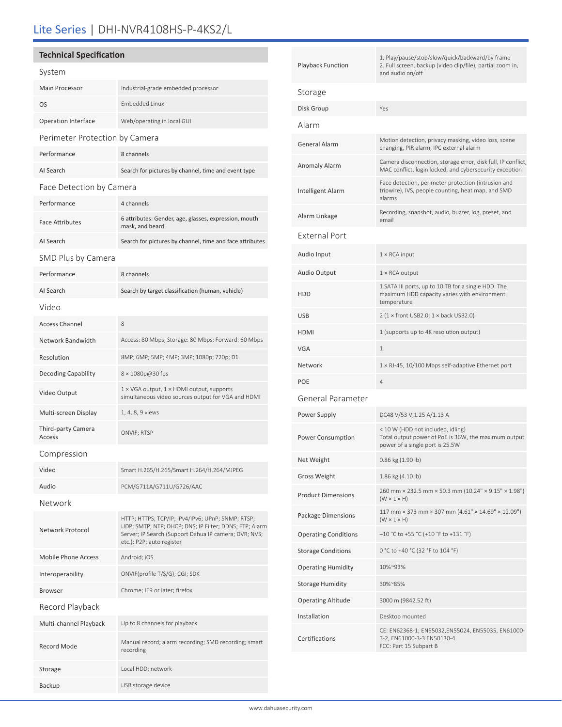# Lite Series | DHI-NVR4108HS-P-4KS2/L

### **Technical Specification**

| System                         |                                                                                                                                                                                                   |  |  |
|--------------------------------|---------------------------------------------------------------------------------------------------------------------------------------------------------------------------------------------------|--|--|
| <b>Main Processor</b>          | Industrial-grade embedded processor                                                                                                                                                               |  |  |
| OS                             | <b>Embedded Linux</b>                                                                                                                                                                             |  |  |
| Operation Interface            | Web/operating in local GUI                                                                                                                                                                        |  |  |
| Perimeter Protection by Camera |                                                                                                                                                                                                   |  |  |
| Performance                    | 8 channels                                                                                                                                                                                        |  |  |
| AI Search                      | Search for pictures by channel, time and event type                                                                                                                                               |  |  |
| Face Detection by Camera       |                                                                                                                                                                                                   |  |  |
| Performance                    | 4 channels                                                                                                                                                                                        |  |  |
| <b>Face Attributes</b>         | 6 attributes: Gender, age, glasses, expression, mouth<br>mask, and beard                                                                                                                          |  |  |
| AI Search                      | Search for pictures by channel, time and face attributes                                                                                                                                          |  |  |
| SMD Plus by Camera             |                                                                                                                                                                                                   |  |  |
| Performance                    | 8 channels                                                                                                                                                                                        |  |  |
| AI Search                      | Search by target classification (human, vehicle)                                                                                                                                                  |  |  |
| Video                          |                                                                                                                                                                                                   |  |  |
| <b>Access Channel</b>          | 8                                                                                                                                                                                                 |  |  |
| Network Bandwidth              | Access: 80 Mbps; Storage: 80 Mbps; Forward: 60 Mbps                                                                                                                                               |  |  |
| Resolution                     | 8MP; 6MP; 5MP; 4MP; 3MP; 1080p; 720p; D1                                                                                                                                                          |  |  |
| <b>Decoding Capability</b>     | 8 × 1080p@30 fps                                                                                                                                                                                  |  |  |
| Video Output                   | 1 × VGA output, 1 × HDMI output, supports<br>simultaneous video sources output for VGA and HDMI                                                                                                   |  |  |
| Multi-screen Display           | 1, 4, 8, 9 views                                                                                                                                                                                  |  |  |
| Third-party Camera<br>Access   | ONVIF; RTSP                                                                                                                                                                                       |  |  |
| Compression                    |                                                                                                                                                                                                   |  |  |
| Video                          | Smart H.265/H.265/Smart H.264/H.264/MJPEG                                                                                                                                                         |  |  |
| Audio                          | PCM/G711A/G711U/G726/AAC                                                                                                                                                                          |  |  |
| Network                        |                                                                                                                                                                                                   |  |  |
| Network Protocol               | HTTP; HTTPS; TCP/IP; IPv4/IPv6; UPnP; SNMP; RTSP;<br>UDP; SMTP; NTP; DHCP; DNS; IP Filter; DDNS; FTP; Alarm<br>Server; IP Search (Support Dahua IP camera; DVR; NVS;<br>etc.); P2P; auto register |  |  |
| <b>Mobile Phone Access</b>     | Android; iOS                                                                                                                                                                                      |  |  |
| Interoperability               | ONVIF(profile T/S/G); CGI; SDK                                                                                                                                                                    |  |  |
| <b>Browser</b>                 | Chrome; IE9 or later; firefox                                                                                                                                                                     |  |  |
| Record Playback                |                                                                                                                                                                                                   |  |  |
| Multi-channel Playback         | Up to 8 channels for playback                                                                                                                                                                     |  |  |
| <b>Record Mode</b>             | Manual record; alarm recording; SMD recording; smart<br>recording                                                                                                                                 |  |  |
| Storage                        | Local HDD; network                                                                                                                                                                                |  |  |

Backup USB storage device

| <b>Playback Function</b>    | 1. Play/pause/stop/slow/quick/backward/by frame<br>2. Full screen, backup (video clip/file), partial zoom in,<br>and audio on/off |  |  |  |
|-----------------------------|-----------------------------------------------------------------------------------------------------------------------------------|--|--|--|
| Storage                     |                                                                                                                                   |  |  |  |
| Disk Group                  | Yes                                                                                                                               |  |  |  |
| Alarm                       |                                                                                                                                   |  |  |  |
| <b>General Alarm</b>        | Motion detection, privacy masking, video loss, scene<br>changing, PIR alarm, IPC external alarm                                   |  |  |  |
| Anomaly Alarm               | Camera disconnection, storage error, disk full, IP conflict,<br>MAC conflict, login locked, and cybersecurity exception           |  |  |  |
| <b>Intelligent Alarm</b>    | Face detection, perimeter protection (intrusion and<br>tripwire), IVS, people counting, heat map, and SMD<br>alarms               |  |  |  |
| Alarm Linkage               | Recording, snapshot, audio, buzzer, log, preset, and<br>email                                                                     |  |  |  |
| <b>External Port</b>        |                                                                                                                                   |  |  |  |
| Audio Input                 | $1 \times$ RCA input                                                                                                              |  |  |  |
| Audio Output                | $1 \times$ RCA output                                                                                                             |  |  |  |
| HDD                         | 1 SATA III ports, up to 10 TB for a single HDD. The<br>maximum HDD capacity varies with environment<br>temperature                |  |  |  |
| <b>USB</b>                  | $2(1 \times$ front USB2.0; $1 \times$ back USB2.0)                                                                                |  |  |  |
| <b>HDMI</b>                 | 1 (supports up to 4K resolution output)                                                                                           |  |  |  |
| <b>VGA</b>                  | 1                                                                                                                                 |  |  |  |
| Network                     | 1 × RJ-45, 10/100 Mbps self-adaptive Ethernet port                                                                                |  |  |  |
| <b>POE</b>                  | 4                                                                                                                                 |  |  |  |
| General Parameter           |                                                                                                                                   |  |  |  |
| Power Supply                | DC48 V/53 V,1.25 A/1.13 A                                                                                                         |  |  |  |
| Power Consumption           | < 10 W (HDD not included, idling)<br>Total output power of PoE is 36W, the maximum output<br>power of a single port is 25.5W      |  |  |  |
| Net Weight                  | 0.86 kg (1.90 lb)                                                                                                                 |  |  |  |
| <b>Gross Weight</b>         | 1.86 kg (4.10 lb)                                                                                                                 |  |  |  |
| <b>Product Dimensions</b>   | 260 mm × 232.5 mm × 50.3 mm (10.24" × 9.15" × 1.98")<br>$(W \times L \times H)$                                                   |  |  |  |
| Package Dimensions          | 117 mm × 373 mm × 307 mm $(4.61" \times 14.69" \times 12.09")$<br>$(W \times L \times H)$                                         |  |  |  |
| <b>Operating Conditions</b> | $-10$ °C to +55 °C (+10 °F to +131 °F)                                                                                            |  |  |  |
| <b>Storage Conditions</b>   | 0 °C to +40 °C (32 °F to 104 °F)                                                                                                  |  |  |  |
| <b>Operating Humidity</b>   | 10%~93%                                                                                                                           |  |  |  |
| <b>Storage Humidity</b>     | 30%~85%                                                                                                                           |  |  |  |
| <b>Operating Altitude</b>   | 3000 m (9842.52 ft)                                                                                                               |  |  |  |
| Installation                | Desktop mounted                                                                                                                   |  |  |  |
| Certifications              | CE: EN62368-1; EN55032,EN55024, EN55035, EN61000-<br>3-2, EN61000-3-3 EN50130-4<br>FCC: Part 15 Subpart B                         |  |  |  |